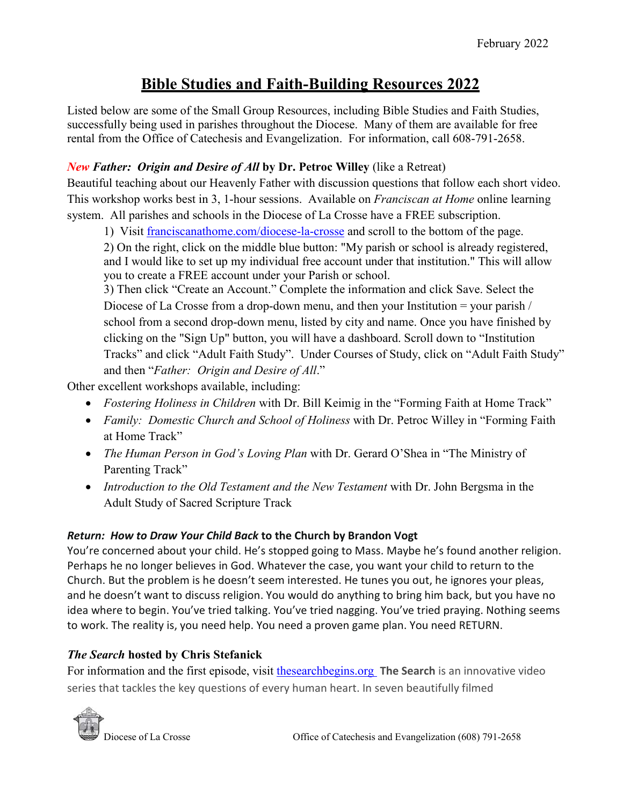# **Bible Studies and Faith-Building Resources 2022**

Listed below are some of the Small Group Resources, including Bible Studies and Faith Studies, successfully being used in parishes throughout the Diocese. Many of them are available for free rental from the Office of Catechesis and Evangelization. For information, call 608-791-2658.

# *New Father: Origin and Desire of All* **by Dr. Petroc Willey** (like a Retreat)

Beautiful teaching about our Heavenly Father with discussion questions that follow each short video. This workshop works best in 3, 1-hour sessions. Available on *Franciscan at Home* online learning system. All parishes and schools in the Diocese of La Crosse have a FREE subscription.

1) Visit [franciscanathome.com/diocese-la-crosse](https://franciscanathome.com/diocese-la-crosse) and scroll to the bottom of the page.

2) On the right, click on the middle blue button: "My parish or school is already registered, and I would like to set up my individual free account under that institution." This will allow you to create a FREE account under your Parish or school.

3) Then click "Create an Account." Complete the information and click Save. Select the Diocese of La Crosse from a drop-down menu, and then your Institution = your parish / school from a second drop-down menu, listed by city and name. Once you have finished by clicking on the "Sign Up" button, you will have a dashboard. Scroll down to "Institution Tracks" and click "Adult Faith Study". Under Courses of Study, click on "Adult Faith Study" and then "*Father: Origin and Desire of All*."

Other excellent workshops available, including:

- *Fostering Holiness in Children* with Dr. Bill Keimig in the "Forming Faith at Home Track"
- *Family: Domestic Church and School of Holiness* with Dr. Petroc Willey in "Forming Faith at Home Track"
- *The Human Person in God's Loving Plan* with Dr. Gerard O'Shea in "The Ministry of Parenting Track"
- *Introduction to the Old Testament and the New Testament* with Dr. John Bergsma in the Adult Study of Sacred Scripture Track

# *Return: How to Draw Your Child Back* **to the Church by Brandon Vogt**

You're concerned about your child. He's stopped going to Mass. Maybe he's found another religion. Perhaps he no longer believes in God. Whatever the case, you want your child to return to the Church. But the problem is he doesn't seem interested. He tunes you out, he ignores your pleas, and he doesn't want to discuss religion. You would do anything to bring him back, but you have no idea where to begin. You've tried talking. You've tried nagging. You've tried praying. Nothing seems to work. The reality is, you need help. You need a proven game plan. You need RETURN.

# *The Search* **hosted by Chris Stefanick**

For information and the first episode, visit [thesearchbegins.org](https://www.thesearchbegins.org/) **The Search** is an innovative video series that tackles the key questions of every human heart. In seven beautifully filmed

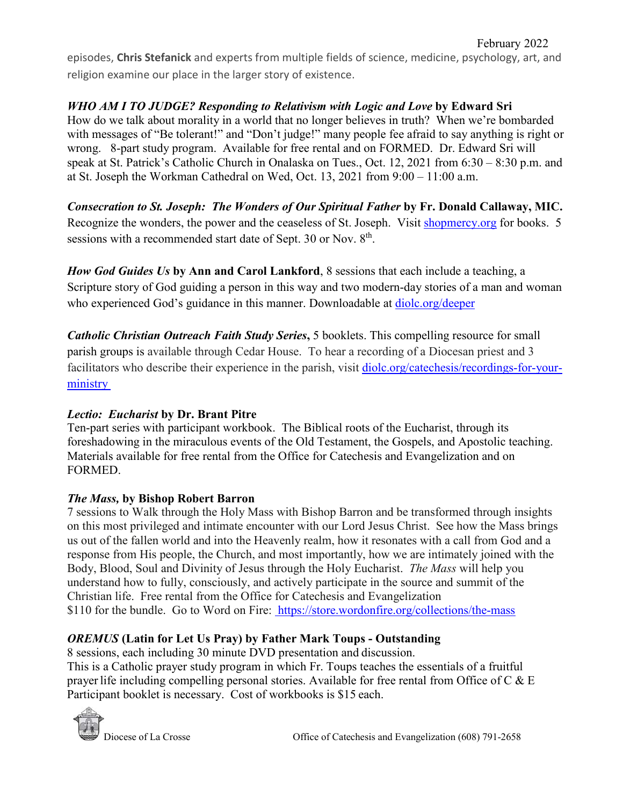episodes, **Chris Stefanick** and experts from multiple fields of science, medicine, psychology, art, and religion examine our place in the larger story of existence.

# *WHO AM I TO JUDGE? Responding to Relativism with Logic and Love* **by Edward Sri**

How do we talk about morality in a world that no longer believes in truth? When we're bombarded with messages of "Be tolerant!" and "Don't judge!" many people fee afraid to say anything is right or wrong. 8-part study program. Available for free rental and on FORMED. Dr. Edward Sri will speak at St. Patrick's Catholic Church in Onalaska on Tues., Oct. 12, 2021 from 6:30 – 8:30 p.m. and at St. Joseph the Workman Cathedral on Wed, Oct. 13, 2021 from 9:00 – 11:00 a.m.

*Consecration to St. Joseph: The Wonders of Our Spiritual Father* **by Fr. Donald Callaway, MIC.** Recognize the wonders, the power and the ceaseless of St. Joseph. Visit [shopmercy.org](https://shopmercy.org/catalogsearch/result/?q=Consecration+to+St.+Joseph) for books. 5 sessions with a recommended start date of Sept. 30 or Nov. 8<sup>th</sup>.

*How God Guides Us* **by Ann and Carol Lankford**, 8 sessions that each include a teaching, a Scripture story of God guiding a person in this way and two modern-day stories of a man and woman who experienced God's guidance in this manner. Downloadable at [diolc.org/deeper](https://diolc.org/catechesis/going-deeper-in-prayer/)

*Catholic Christian Outreach Faith Study Series***,** 5 booklets. This compelling resource for small parish groups is available through Cedar House. To hear a recording of a Diocesan priest and 3 facilitators who describe their experience in the parish, visit [diolc.org/catechesis/recordings-for-your](https://diolc.org/catechesis/recordings-for-your-ministry/)[ministry](https://diolc.org/catechesis/recordings-for-your-ministry/) 

# *Lectio: Eucharist* **by Dr. Brant Pitre**

Ten-part series with participant workbook. The Biblical roots of the Eucharist, through its foreshadowing in the miraculous events of the Old Testament, the Gospels, and Apostolic teaching. Materials available for free rental from the Office for Catechesis and Evangelization and on FORMED.

#### *The Mass,* **by Bishop Robert Barron**

7 sessions to Walk through the Holy Mass with Bishop Barron and be transformed through insights on this most privileged and intimate encounter with our Lord Jesus Christ. See how the Mass brings us out of the fallen world and into the Heavenly realm, how it resonates with a call from God and a response from His people, the Church, and most importantly, how we are intimately joined with the Body, Blood, Soul and Divinity of Jesus through the Holy Eucharist. *The Mass* will help you understand how to fully, consciously, and actively participate in the source and summit of the Christian life. Free rental from the Office for Catechesis and Evangelization \$110 for the bundle. Go to Word on Fire: <https://store.wordonfire.org/collections/the-mass>

#### *OREMUS* **(Latin for Let Us Pray) by Father Mark Toups - Outstanding**

8 sessions, each including 30 minute DVD presentation and discussion. This is a Catholic prayer study program in which Fr. Toups teaches the essentials of a fruitful prayer life including compelling personal stories. Available for free rental from Office of C  $\&$  E Participant booklet is necessary. Cost of workbooks is \$15 each.

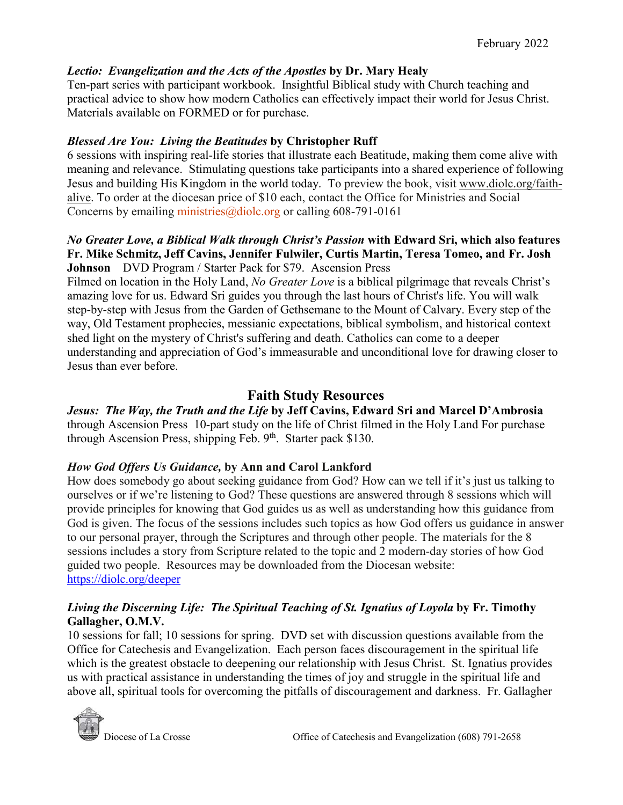### *Lectio: Evangelization and the Acts of the Apostles* **by Dr. Mary Healy**

Ten-part series with participant workbook. Insightful Biblical study with Church teaching and practical advice to show how modern Catholics can effectively impact their world for Jesus Christ. Materials available on FORMED or for purchase.

### *Blessed Are You: Living the Beatitudes* **by Christopher Ruff**

6 sessions with inspiring real-life stories that illustrate each Beatitude, making them come alive with meaning and relevance. Stimulating questions take participants into a shared experience of following Jesus and building His Kingdom in the world today. To preview the book, visit www.diolc.org/faithalive. To order at the diocesan price of \$10 each, contact the Office for Ministries and Social Concerns by emailing ministries  $\omega$  diole.org or calling 608-791-0161

#### *No Greater Love, a Biblical Walk through Christ's Passion* **with Edward Sri, which also features Fr. Mike Schmitz, Jeff Cavins, Jennifer Fulwiler, Curtis Martin, Teresa Tomeo, and Fr. Josh Johnson** DVD Program / Starter Pack for \$79. Ascension Press

Filmed on location in the Holy Land, *No Greater Love* is a biblical pilgrimage that reveals Christ's amazing love for us. Edward Sri guides you through the last hours of Christ's life. You will walk step-by-step with Jesus from the Garden of Gethsemane to the Mount of Calvary. Every step of the way, Old Testament prophecies, messianic expectations, biblical symbolism, and historical context shed light on the mystery of Christ's suffering and death. Catholics can come to a deeper understanding and appreciation of God's immeasurable and unconditional love for drawing closer to Jesus than ever before.

# **Faith Study Resources**

*Jesus: The Way, the Truth and the Life* **by Jeff Cavins, Edward Sri and Marcel D'Ambrosia**  through Ascension Press 10-part study on the life of Christ filmed in the Holy Land For purchase through Ascension Press, shipping Feb.  $9<sup>th</sup>$ . Starter pack \$130.

# *How God Offers Us Guidance,* **by Ann and Carol Lankford**

How does somebody go about seeking guidance from God? How can we tell if it's just us talking to ourselves or if we're listening to God? These questions are answered through 8 sessions which will provide principles for knowing that God guides us as well as understanding how this guidance from God is given. The focus of the sessions includes such topics as how God offers us guidance in answer to our personal prayer, through the Scriptures and through other people. The materials for the 8 sessions includes a story from Scripture related to the topic and 2 modern-day stories of how God guided two people. Resources may be downloaded from the Diocesan website: <https://diolc.org/deeper>

### *Living the Discerning Life: The Spiritual Teaching of St. Ignatius of Loyola* **by Fr. Timothy Gallagher, O.M.V.**

10 sessions for fall; 10 sessions for spring. DVD set with discussion questions available from the Office for Catechesis and Evangelization. Each person faces discouragement in the spiritual life which is the greatest obstacle to deepening our relationship with Jesus Christ. St. Ignatius provides us with practical assistance in understanding the times of joy and struggle in the spiritual life and above all, spiritual tools for overcoming the pitfalls of discouragement and darkness. Fr. Gallagher

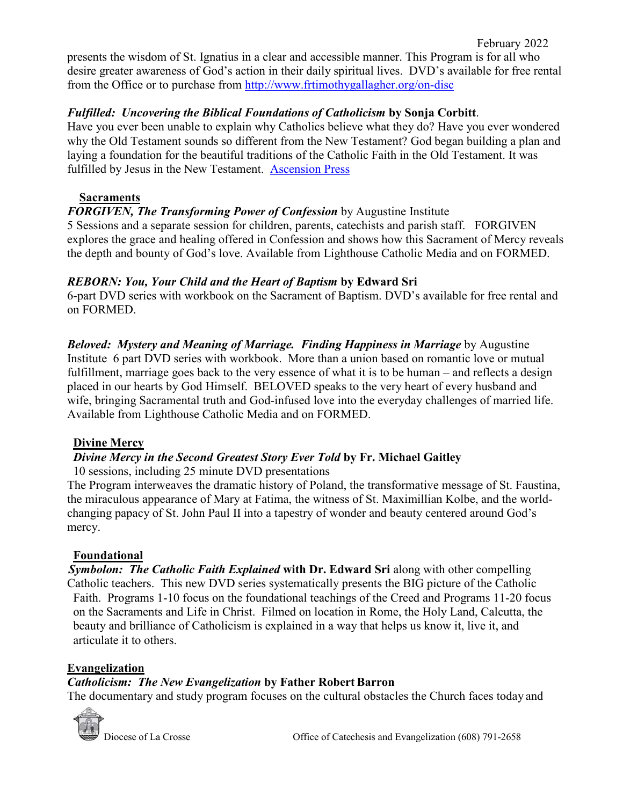presents the wisdom of St. Ignatius in a clear and accessible manner. This Program is for all who desire greater awareness of God's action in their daily spiritual lives. DVD's available for free rental from the Office or to purchase from<http://www.frtimothygallagher.org/on-disc>

### *Fulfilled: Uncovering the Biblical Foundations of Catholicism* **by Sonja Corbitt**.

Have you ever been unable to explain why Catholics believe what they do? Have you ever wondered why the Old Testament sounds so different from the New Testament? God began building a plan and laying a foundation for the beautiful traditions of the Catholic Faith in the Old Testament. It was fulfilled by Jesus in the New Testament. [Ascension Press](https://shop.ascensionpress.com/collections/fulfilled)

### **Sacraments**

# *FORGIVEN, The Transforming Power of Confession* by Augustine Institute

5 Sessions and a separate session for children, parents, catechists and parish staff. FORGIVEN explores the grace and healing offered in Confession and shows how this Sacrament of Mercy reveals the depth and bounty of God's love. Available from Lighthouse Catholic Media and on FORMED.

### *REBORN: You, Your Child and the Heart of Baptism* **by Edward Sri**

6-part DVD series with workbook on the Sacrament of Baptism. DVD's available for free rental and on FORMED.

*Beloved: Mystery and Meaning of Marriage. Finding Happiness in Marriage* by Augustine Institute 6 part DVD series with workbook. More than a union based on romantic love or mutual fulfillment, marriage goes back to the very essence of what it is to be human – and reflects a design placed in our hearts by God Himself. BELOVED speaks to the very heart of every husband and wife, bringing Sacramental truth and God-infused love into the everyday challenges of married life. Available from Lighthouse Catholic Media and on FORMED.

# **Divine Mercy**

# *Divine Mercy in the Second Greatest Story Ever Told* **by Fr. Michael Gaitley**

10 sessions, including 25 minute DVD presentations

The Program interweaves the dramatic history of Poland, the transformative message of St. Faustina, the miraculous appearance of Mary at Fatima, the witness of St. Maximillian Kolbe, and the worldchanging papacy of St. John Paul II into a tapestry of wonder and beauty centered around God's mercy.

# **Foundational**

*Symbolon: The Catholic Faith Explained* **with Dr. Edward Sri** along with other compelling Catholic teachers. This new DVD series systematically presents the BIG picture of the Catholic Faith. Programs 1-10 focus on the foundational teachings of the Creed and Programs 11-20 focus on the Sacraments and Life in Christ. Filmed on location in Rome, the Holy Land, Calcutta, the beauty and brilliance of Catholicism is explained in a way that helps us know it, live it, and articulate it to others.

# **Evangelization**

# *Catholicism: The New Evangelization by Father Robert Barron*

The documentary and study program focuses on the cultural obstacles the Church faces today and



Diocese of La Crosse **Office** of Catechesis and Evangelization (608) 791-2658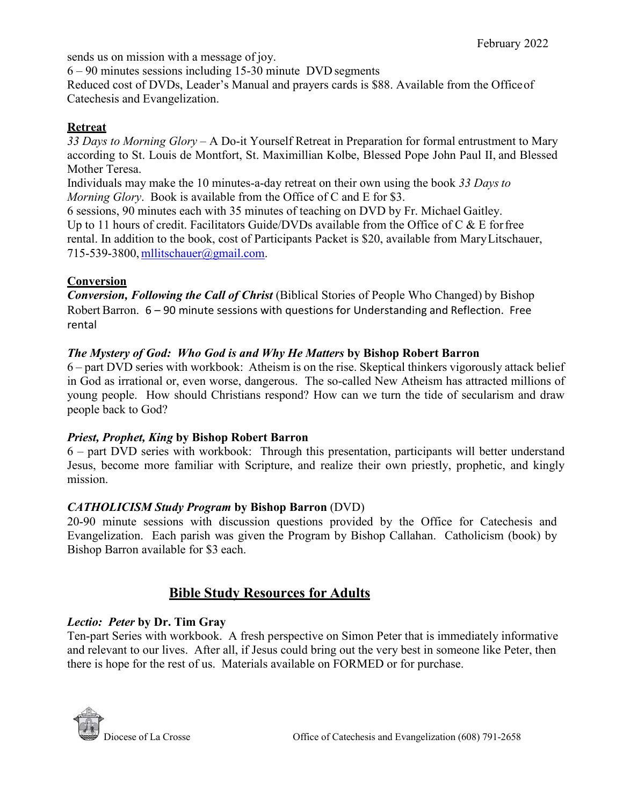sends us on mission with a message of joy.

6 – 90 minutes sessions including 15-30 minute DVD segments

Reduced cost of DVDs, Leader's Manual and prayers cards is \$88. Available from the Officeof Catechesis and Evangelization.

### **Retreat**

*33 Days to Morning Glory* – A Do-it Yourself Retreat in Preparation for formal entrustment to Mary according to St. Louis de Montfort, St. Maximillian Kolbe, Blessed Pope John Paul II, and Blessed Mother Teresa.

Individuals may make the 10 minutes-a-day retreat on their own using the book *33 Daysto Morning Glory*. Book is available from the Office of C and E for \$3.

6 sessions, 90 minutes each with 35 minutes of teaching on DVD by Fr. Michael Gaitley. Up to 11 hours of credit. Facilitators Guide/DVDs available from the Office of C  $\&$  E for free rental. In addition to the book, cost of Participants Packet is \$20, available from MaryLitschauer, 715-539-3800, [mllitschauer@gmail.com.](mailto:mllitschauer@gmail.com)

### **Conversion**

*Conversion, Following the Call of Christ* (Biblical Stories of People Who Changed) by Bishop Robert Barron. 6 – 90 minute sessions with questions for Understanding and Reflection. Free rental

### *The Mystery of God: Who God is and Why He Matters* **by Bishop Robert Barron**

6 – part DVD series with workbook: Atheism is on the rise. Skeptical thinkers vigorously attack belief in God as irrational or, even worse, dangerous. The so-called New Atheism has attracted millions of young people. How should Christians respond? How can we turn the tide of secularism and draw people back to God?

#### *Priest, Prophet, King* **by Bishop Robert Barron**

6 – part DVD series with workbook: Through this presentation, participants will better understand Jesus, become more familiar with Scripture, and realize their own priestly, prophetic, and kingly mission.

#### *CATHOLICISM Study Program* **by Bishop Barron** (DVD)

20-90 minute sessions with discussion questions provided by the Office for Catechesis and Evangelization. Each parish was given the Program by Bishop Callahan. Catholicism (book) by Bishop Barron available for \$3 each.

# **Bible Study Resources for Adults**

# *Lectio: Peter* **by Dr. Tim Gray**

Ten-part Series with workbook. A fresh perspective on Simon Peter that is immediately informative and relevant to our lives. After all, if Jesus could bring out the very best in someone like Peter, then there is hope for the rest of us. Materials available on FORMED or for purchase.

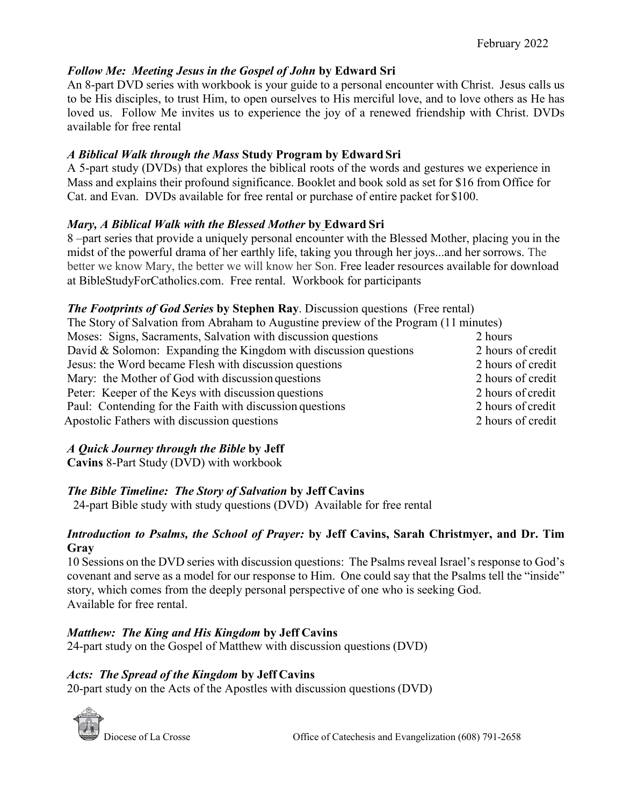### *Follow Me: Meeting Jesus in the Gospel of John* **by Edward Sri**

An 8-part DVD series with workbook is your guide to a personal encounter with Christ. Jesus calls us to be His disciples, to trust Him, to open ourselves to His merciful love, and to love others as He has loved us. Follow Me invites us to experience the joy of a renewed friendship with Christ. DVDs available for free rental

### *A Biblical Walk through the Mass* **Study Program by Edward Sri**

A 5-part study (DVDs) that explores the biblical roots of the words and gestures we experience in Mass and explains their profound significance. Booklet and book sold as set for \$16 from Office for Cat. and Evan. DVDs available for free rental or purchase of entire packet for \$100.

#### *Mary, A Biblical Walk with the Blessed Mother* **by Edward Sri**

8 –part series that provide a uniquely personal encounter with the Blessed Mother, placing you in the midst of the powerful drama of her earthly life, taking you through her joys...and her sorrows. The better we know Mary, the better we will know her Son. Free leader resources available for download at BibleStudyForCatholics.com. Free rental. Workbook for participants

#### *The Footprints of God Series* **by Stephen Ray**. Discussion questions (Free rental)

| The Story of Salvation from Abraham to Augustine preview of the Program (11 minutes) |                   |
|--------------------------------------------------------------------------------------|-------------------|
| Moses: Signs, Sacraments, Salvation with discussion questions                        | 2 hours           |
| David & Solomon: Expanding the Kingdom with discussion questions                     | 2 hours of credit |
| Jesus: the Word became Flesh with discussion questions                               | 2 hours of credit |
| Mary: the Mother of God with discussion questions                                    | 2 hours of credit |
| Peter: Keeper of the Keys with discussion questions                                  | 2 hours of credit |
| Paul: Contending for the Faith with discussion questions                             | 2 hours of credit |
| Apostolic Fathers with discussion questions                                          | 2 hours of credit |

# *A Quick Journey through the Bible* **by Jeff**

**Cavins** 8-Part Study (DVD) with workbook

# *The Bible Timeline: The Story of Salvation* **by Jeff Cavins**

24-part Bible study with study questions (DVD) Available for free rental

#### *Introduction to Psalms, the School of Prayer:* **by Jeff Cavins, Sarah Christmyer, and Dr. Tim Gray**

10 Sessions on the DVD series with discussion questions: The Psalms reveal Israel's response to God's covenant and serve as a model for our response to Him. One could say that the Psalms tell the "inside" story, which comes from the deeply personal perspective of one who is seeking God. Available for free rental.

#### *Matthew: The King and His Kingdom* **by Jeff Cavins**

24-part study on the Gospel of Matthew with discussion questions (DVD)

#### *Acts: The Spread of the Kingdom* **by Jeff Cavins**

20-part study on the Acts of the Apostles with discussion questions (DVD)

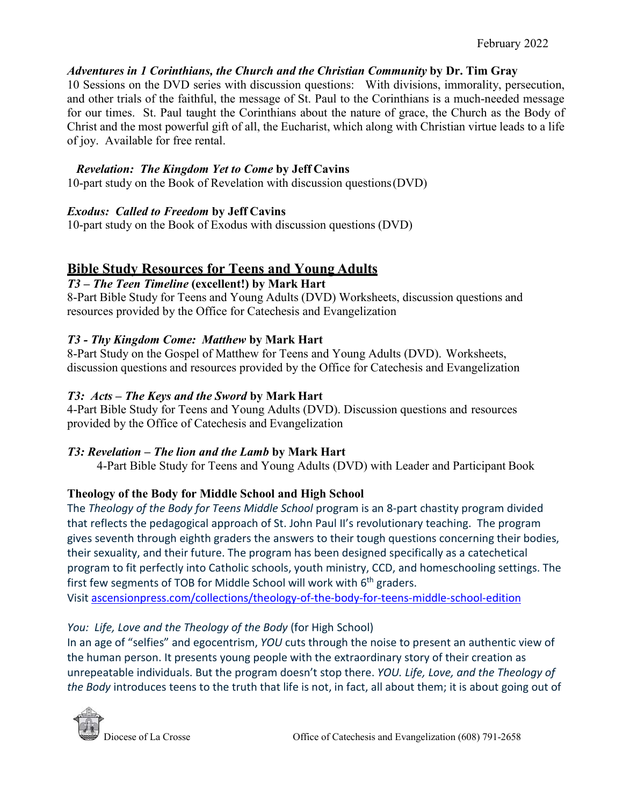### *Adventures in 1 Corinthians, the Church and the Christian Community* **by Dr. Tim Gray**

10 Sessions on the DVD series with discussion questions: With divisions, immorality, persecution, and other trials of the faithful, the message of St. Paul to the Corinthians is a much-needed message for our times. St. Paul taught the Corinthians about the nature of grace, the Church as the Body of Christ and the most powerful gift of all, the Eucharist, which along with Christian virtue leads to a life of joy. Available for free rental.

### *Revelation: The Kingdom Yet to Come* **by Jeff Cavins**

10-part study on the Book of Revelation with discussion questions(DVD)

### *Exodus: Called to Freedom* **by Jeff Cavins**

10-part study on the Book of Exodus with discussion questions (DVD)

# **Bible Study Resources for Teens and Young Adults**

### *T3 – The Teen Timeline* **(excellent!) by Mark Hart**

8-Part Bible Study for Teens and Young Adults (DVD) Worksheets, discussion questions and resources provided by the Office for Catechesis and Evangelization

# *T3 - Thy Kingdom Come: Matthew* **by Mark Hart**

8-Part Study on the Gospel of Matthew for Teens and Young Adults (DVD). Worksheets, discussion questions and resources provided by the Office for Catechesis and Evangelization

### *T3: Acts – The Keys and the Sword* **by Mark Hart**

4-Part Bible Study for Teens and Young Adults (DVD). Discussion questions and resources provided by the Office of Catechesis and Evangelization

# *T3: Revelation – The lion and the Lamb* **by Mark Hart**

4-Part Bible Study for Teens and Young Adults (DVD) with Leader and Participant Book

# **Theology of the Body for Middle School and High School**

The *Theology of the Body for Teens Middle School* program is an 8-part chastity program divided that reflects the pedagogical approach of St. John Paul II's revolutionary teaching. The program gives seventh through eighth graders the answers to their tough questions concerning their bodies, their sexuality, and their future. The program has been designed specifically as a catechetical program to fit perfectly into Catholic schools, youth ministry, CCD, and homeschooling settings. The first few segments of TOB for Middle School will work with  $6<sup>th</sup>$  graders. Visi[t ascensionpress.com/collections/theology-of-the-body-for-teens-middle-school-edition](https://ascensionpress.com/collections/theology-of-the-body-for-teens-middle-school-edition)

# *You: Life, Love and the Theology of the Body* (for High School)

In an age of "selfies" and egocentrism, *YOU* cuts through the noise to present an authentic view of the human person. It presents young people with the extraordinary story of their creation as unrepeatable individuals. But the program doesn't stop there. *YOU. Life, Love, and the Theology of the Body* introduces teens to the truth that life is not, in fact, all about them; it is about going out of

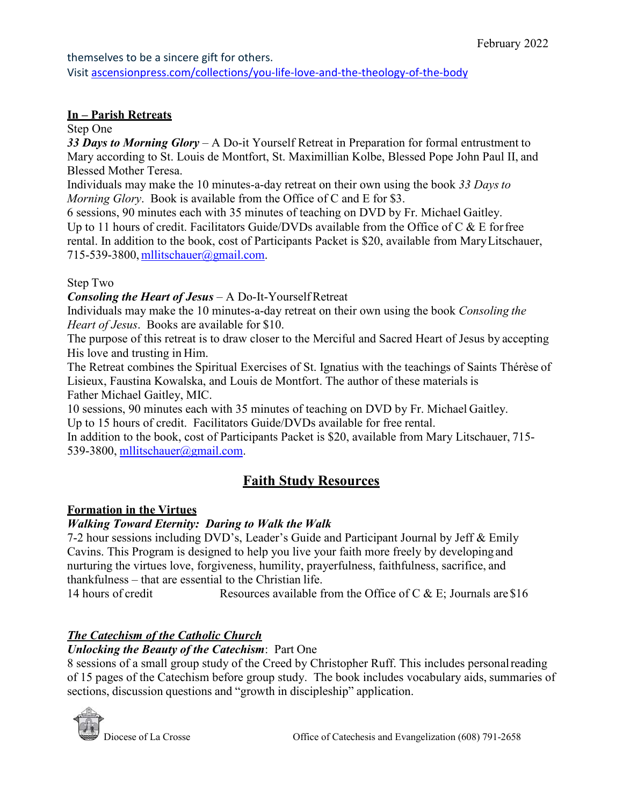#### themselves to be a sincere gift for others.

Visi[t ascensionpress.com/collections/you-life-love-and-the-theology-of-the-body](https://ascensionpress.com/collections/you-life-love-and-the-theology-of-the-body)

### **In – Parish Retreats**

### Step One

*33 Days to Morning Glory* – A Do-it Yourself Retreat in Preparation for formal entrustment to Mary according to St. Louis de Montfort, St. Maximillian Kolbe, Blessed Pope John Paul II, and Blessed Mother Teresa.

Individuals may make the 10 minutes-a-day retreat on their own using the book *33 Daysto Morning Glory*. Book is available from the Office of C and E for \$3.

6 sessions, 90 minutes each with 35 minutes of teaching on DVD by Fr. Michael Gaitley. Up to 11 hours of credit. Facilitators Guide/DVDs available from the Office of  $C \& E$  for free rental. In addition to the book, cost of Participants Packet is \$20, available from MaryLitschauer, 715-539-3800, [mllitschauer@gmail.com.](mailto:mllitschauer@gmail.com)

### Step Two

*Consoling the Heart of Jesus* – A Do-It-YourselfRetreat

Individuals may make the 10 minutes-a-day retreat on their own using the book *Consoling the Heart of Jesus*. Books are available for \$10.

The purpose of this retreat is to draw closer to the Merciful and Sacred Heart of Jesus by accepting His love and trusting in Him.

The Retreat combines the Spiritual Exercises of St. Ignatius with the teachings of Saints Thérèse of Lisieux, Faustina Kowalska, and Louis de Montfort. The author of these materials is Father Michael Gaitley, MIC.

10 sessions, 90 minutes each with 35 minutes of teaching on DVD by Fr. Michael Gaitley. Up to 15 hours of credit. Facilitators Guide/DVDs available for free rental.

In addition to the book, cost of Participants Packet is \$20, available from Mary Litschauer, 715- 539-3800, militschauer@gmail.com.

# **Faith Study Resources**

# **Formation in the Virtues**

# *Walking Toward Eternity: Daring to Walk the Walk*

7-2 hour sessions including DVD's, Leader's Guide and Participant Journal by Jeff & Emily Cavins. This Program is designed to help you live your faith more freely by developing and nurturing the virtues love, forgiveness, humility, prayerfulness, faithfulness, sacrifice, and thankfulness – that are essential to the Christian life.

14 hours of credit Resources available from the Office of C & E; Journals are \$16

# *The Catechism of the Catholic Church*

#### *Unlocking the Beauty of the Catechism*: Part One

8 sessions of a small group study of the Creed by Christopher Ruff. This includes personalreading of 15 pages of the Catechism before group study. The book includes vocabulary aids, summaries of sections, discussion questions and "growth in discipleship" application.

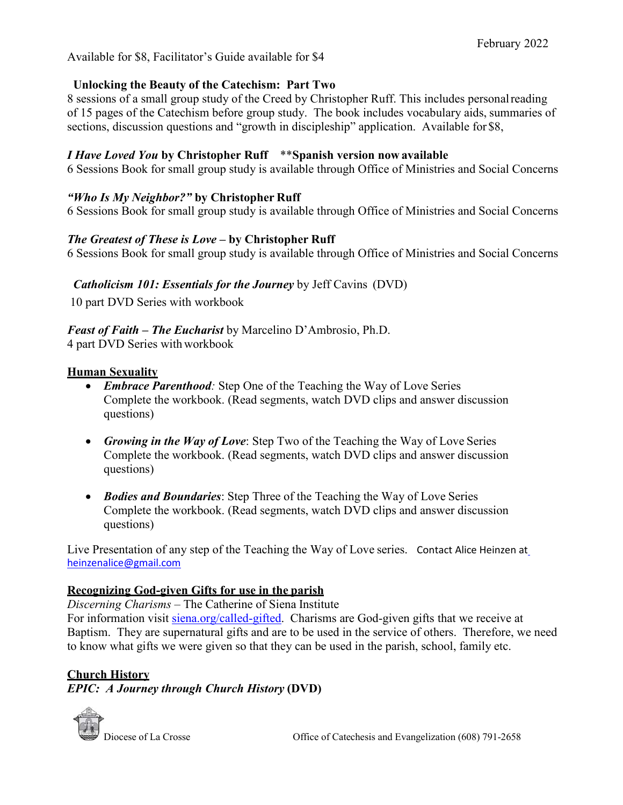Available for \$8, Facilitator's Guide available for \$4

#### **Unlocking the Beauty of the Catechism: Part Two**

8 sessions of a small group study of the Creed by Christopher Ruff. This includes personalreading of 15 pages of the Catechism before group study. The book includes vocabulary aids, summaries of sections, discussion questions and "growth in discipleship" application. Available for \$8,

#### *I Have Loved You* **by Christopher Ruff** \*\***Spanish version now available**

6 Sessions Book for small group study is available through Office of Ministries and Social Concerns

#### *"Who Is My Neighbor?"* **by Christopher Ruff**

6 Sessions Book for small group study is available through Office of Ministries and Social Concerns

#### *The Greatest of These is Love –* **by Christopher Ruff**

6 Sessions Book for small group study is available through Office of Ministries and Social Concerns

#### *Catholicism 101: Essentials for the Journey* by Jeff Cavins (DVD)

10 part DVD Series with workbook

#### *Feast of Faith – The Eucharist* by Marcelino D'Ambrosio, Ph.D.

4 part DVD Series with workbook

#### **Human Sexuality**

- *Embrace Parenthood:* Step One of the Teaching the Way of Love Series Complete the workbook. (Read segments, watch DVD clips and answer discussion questions)
- *Growing in the Way of Love*: Step Two of the Teaching the Way of Love Series Complete the workbook. (Read segments, watch DVD clips and answer discussion questions)
- *Bodies and Boundaries*: Step Three of the Teaching the Way of Love Series Complete the workbook. (Read segments, watch DVD clips and answer discussion questions)

Live Presentation of any step of the Teaching the Way of Love series. Contact Alice Heinzen at heinzenalice@gmail.com

#### **Recognizing God-given Gifts for use in the parish**

*Discerning Charisms* – The Catherine of Siena Institute

For information visit [siena.org/called-gifted.](https://siena.org/called-gifted) Charisms are God-given gifts that we receive at Baptism. They are supernatural gifts and are to be used in the service of others. Therefore, we need to know what gifts we were given so that they can be used in the parish, school, family etc.

#### **Church History**

*EPIC: A Journey through Church History* **(DVD)**

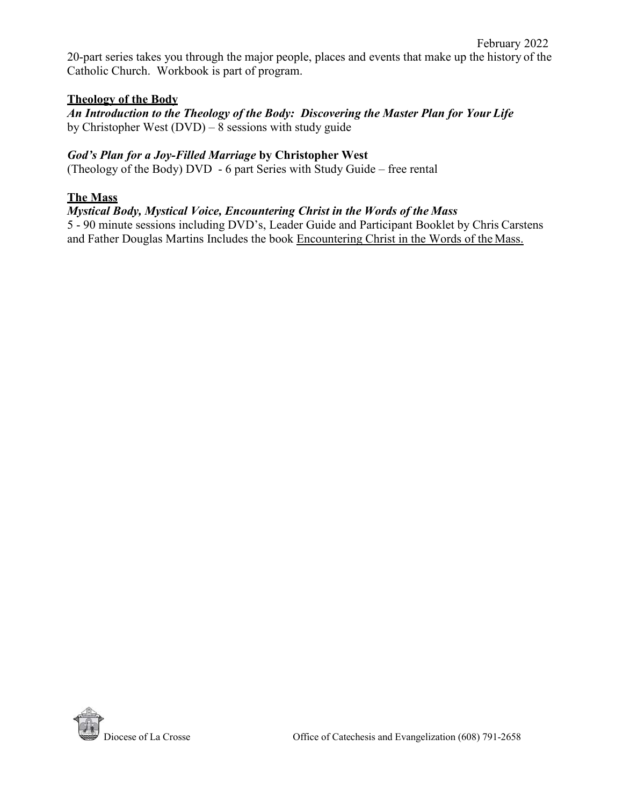20-part series takes you through the major people, places and events that make up the history of the Catholic Church. Workbook is part of program.

#### **Theology of the Body**

*An Introduction to the Theology of the Body: Discovering the Master Plan for Your Life* by Christopher West  $(DVD) - 8$  sessions with study guide

#### *God's Plan for a Joy-Filled Marriage* **by Christopher West**

(Theology of the Body) DVD - 6 part Series with Study Guide – free rental

#### **The Mass**

#### *Mystical Body, Mystical Voice, Encountering Christ in the Words of the Mass*

5 - 90 minute sessions including DVD's, Leader Guide and Participant Booklet by Chris Carstens and Father Douglas Martins Includes the book Encountering Christ in the Words of the Mass.